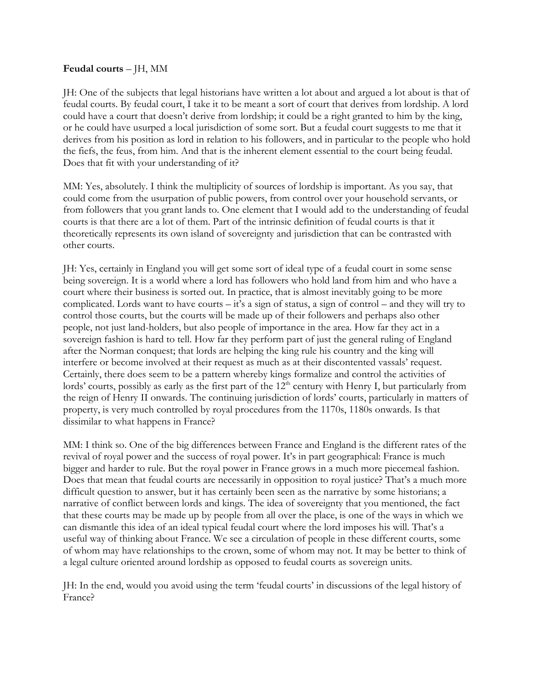## **Feudal courts** – JH, MM

JH: One of the subjects that legal historians have written a lot about and argued a lot about is that of feudal courts. By feudal court, I take it to be meant a sort of court that derives from lordship. A lord could have a court that doesn't derive from lordship; it could be a right granted to him by the king, or he could have usurped a local jurisdiction of some sort. But a feudal court suggests to me that it derives from his position as lord in relation to his followers, and in particular to the people who hold the fiefs, the feus, from him. And that is the inherent element essential to the court being feudal. Does that fit with your understanding of it?

MM: Yes, absolutely. I think the multiplicity of sources of lordship is important. As you say, that could come from the usurpation of public powers, from control over your household servants, or from followers that you grant lands to. One element that I would add to the understanding of feudal courts is that there are a lot of them. Part of the intrinsic definition of feudal courts is that it theoretically represents its own island of sovereignty and jurisdiction that can be contrasted with other courts.

JH: Yes, certainly in England you will get some sort of ideal type of a feudal court in some sense being sovereign. It is a world where a lord has followers who hold land from him and who have a court where their business is sorted out. In practice, that is almost inevitably going to be more complicated. Lords want to have courts – it's a sign of status, a sign of control – and they will try to control those courts, but the courts will be made up of their followers and perhaps also other people, not just land-holders, but also people of importance in the area. How far they act in a sovereign fashion is hard to tell. How far they perform part of just the general ruling of England after the Norman conquest; that lords are helping the king rule his country and the king will interfere or become involved at their request as much as at their discontented vassals' request. Certainly, there does seem to be a pattern whereby kings formalize and control the activities of lords' courts, possibly as early as the first part of the 12<sup>th</sup> century with Henry I, but particularly from the reign of Henry II onwards. The continuing jurisdiction of lords' courts, particularly in matters of property, is very much controlled by royal procedures from the 1170s, 1180s onwards. Is that dissimilar to what happens in France?

MM: I think so. One of the big differences between France and England is the different rates of the revival of royal power and the success of royal power. It's in part geographical: France is much bigger and harder to rule. But the royal power in France grows in a much more piecemeal fashion. Does that mean that feudal courts are necessarily in opposition to royal justice? That's a much more difficult question to answer, but it has certainly been seen as the narrative by some historians; a narrative of conflict between lords and kings. The idea of sovereignty that you mentioned, the fact that these courts may be made up by people from all over the place, is one of the ways in which we can dismantle this idea of an ideal typical feudal court where the lord imposes his will. That's a useful way of thinking about France. We see a circulation of people in these different courts, some of whom may have relationships to the crown, some of whom may not. It may be better to think of a legal culture oriented around lordship as opposed to feudal courts as sovereign units.

JH: In the end, would you avoid using the term 'feudal courts' in discussions of the legal history of France?